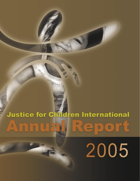### **Justice for Children International** ▣  $\blacktriangle$ E  $\bullet$  $\bullet$

2005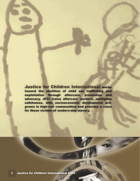Justice for Children International works toward the abolition of child sex trafficking and exploitation through aftercare, prevention and advocacy. JFCI trains aftercare workers, multiplies safehomes, aids socioeconomic development programs in high-risk communities and provides a voice for these victims of modern-day slavery.  $\Box$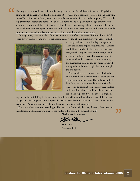Half way across the world we walk into the living room inside of a safe-home. A ten year old girl shies behind one of the care-givers. She has seen Mike's 6'3" frame and is instantly scared. We spend time with the staff and girls, and as the day wears on they walk us down the dirt road to the property JFCI was able to purchase for another safe-home to be built, this home will be for girls under the age of twelve who are rescued out of sexual slavery. We stand; JFCI staff, care-givers, young girls, and dream together about this new home, nearly complete. By the end of the afternoon Mike receives a pat on the arm, and a smile from one girl who will one day soon live in that house and dream of her own future. **"**

Coming home, I was reminded of the two questions I am often asked: one, "Is the abolition of child sexual slavery possible?" and two, "Is the restoration of victims of child sexual slavery possible?" I think



the magnitude of the problem begs the question. There are millions of predators, millions of victims, and billions of dollars in this story. There are some days, after hearing the latest horror story, or reading about the latest rapist who was given a light sentence when that question arises in my mind, but I remember the question can never be viewed through the millions of people, but only through the one person.

After you have seen the one, danced with the one, buried the one, the millions are there, but not as an insurmountable mass. The millions suddenly have faces, you begin to see them as individuals. This seeing takes faith because once we see the face of the one instead of the millions, there is a call to action and responsibility. This can seem frighten-

ing, but the beautiful thing is; the weight of the millions will not crush you but the face of the one can change your life, and you in turn can possibly change theirs. Martin Luther King Jr. said "Take the first step in faith. You don't have to see the whole staircase, just take the first step."

The one is where we must always begin. The one is worth the risk, the time, the tears, the danger, and the celebration. The one is who changes the world, with a pat on the arm and a smile.

Abolition & Restoration,

Rob Morris President, JFCI

**"**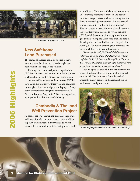

*Foundations are put in place*

### **New Safehome Land Purchased**

Thousands of children could be rescued if there were adequate facilities and trained caregivers to help counsel and support the children.

**3** Justice for Children International 2005<br>
3 Justice for Children International 2005<br>
3 Justice for Children International 2005<br>
3 Justice for Children International 2005<br>
3 Justice for Children International 2005<br>
2006, Working alongside a local partner organization, JFCI has purchased the land for and is funding a new safehome for girls under 12 years old. Construction on the new safehome is currently underway. JFCI has invested in this location for three years and educating the caregivers is an essential part of this project. Many of the new safehome caregivers have attended a JFCI Aftercare Training Program in 2006, ensuring staff are equipped with tools for successful therapy.

# **Cambodia & Thailand Well Prevention Project**

As part of the JFCI prevention program, eight water wells were installed in areas prone to child trafficking. Children now stay in their village to collect water rather than walking miles, risking abduction by sex traffickers. Child sex traffickers seek out vulnerable, everyday moments to move in and abduct children. Everyday tasks, such as collecting water for the day, present high safety risks. This has been of serious concern to families on the Cambodia/ Thailand border, where children walk eight kilometers to collect water. In order to reverse the risks, JFCI funded the construction of eight wells in targeted villages along the Cambodia/Thailand border. Working with the Cambodian Hope Organization (CHO), a Cambodian partner, JFCI prevented the abuse of children with a simple solution.

*"Because of the wells JFCI funded children in our village are no longer afraid of child abuse or of being*  trafficked, <sup>'</sup> said Lok Sovan in Nong Chan, Cambodia. *"Instead of carrying water for eight kilometers back to our homes the children now attend school."*

Local villagers are trained in the maintenance and repair of wells, resulting in a long life for each well constructed. The clean water from the wells also lowers the deadly diseases in the area, and can be used to water and grow crops.



*Children pump fresh water in the safety of their village*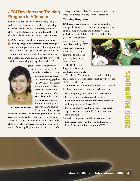# **JFCI Develops the Training Program in Aftercare**

Children cannot be liberated from bondage only to end up at risk of starvation, homelessness, or being re-trafficked and exploited. At this very moment, children in brothels around the world could be set free if additional safehomes and trained caregivers existed.

In 2005 JFCI developed two aftercare programs:

- **Training Program in Aftercare (TPA):** from grassroots levels to graduate students, this program aims at developing participants knowledge and skills in working with victims of child sexual exploitation
- **Safehome Program:** provides care for survivors of child sex trafficking and exploitation (CSTE).

Gundelina Velazco, a recog-Gundelina Velazco, a nized international consultant in counseling psychology. Dr. Velazco has taught in institutions in Malaysia, Cambodia, South Africa, Namibia, and the USA, particularly in the therapy of traumatized children. She was a university professor in the Philippines



*Dr. Gundelina Velazco*

in the fields of psychology, education, research, and counseling for nine years. She is an accredited member of the British Psychological Society. In recognition of her work among the world's children at risk, Dr. Velazco received the Presidential Award, Pamanang Filipino Award, in December 2004,

a recognition bestowed on Filipinos overseas for excellence and distinction in their work or profession.

#### Training Programs

JFCI has devised training programs to be used to train participants at several levels. The program aims at developing knowledge and skills for working with victims of Child Sex Trafficking Exploitation

(CSTE). Through these training programs, caregivers learn to help CSTE survivors by facilitating restorative experiences, teaching life skills, and providing hope for a better future.

The JFCI Training Program in Aftercare is conducted at two levels:

**Certificate TPA:** a two-week intensive training for grassroots caregivers already involved with rescued children in safehomes

**Diploma TPA:** a nine-month university level course for those committed to a career in CSTE aftercare.

The Training Program in Aftercare is designed to:

- $\Box$  Expose aftercare workers to various theories, techniques and applications of relevant disciplines, with emphasis on victims of CSTE
- $\Box$  Provide an intensive and highly supervised practical experience with victims of CSTE and other workers in the field
- $\Box$  Develop competence and skills to conduct scientific research that contributes to the knowledge base of aftercare and prevention in CSTE.

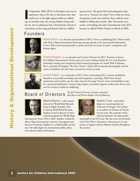In September 2002, JFCI Co-Founders went on a exploratory trip to SE Asia to determine how the could serve in the fight against child sex trafficking. In brothels, they saw young children being sold n September 2002, JFCI Co-Founders went on an exploratory trip to SE Asia to determine how they could serve in the fight against child sex traffickfor sex, but in safehomes they witnessed the miracle of restoration as they sang and danced with sex traffick-

ing survivors. The goal of this and subsequent trips was not to "reinvent the wheel" but to find out where the greatest needs were and how they could be most helpful in filling those needs. After 18 months of research, networking and other foundational work, JFCI became an official Public Charity in March of 2004.

# F o u n d e r s



Robert Morris is co-founder and president of JFCI. Prior to establishing JFCI, Rob worked with Mercy Ships International directing training schools at the International Operations Center. Rob travels internationally to speak and teach on issues of justice, compassion and human rights.



Desirea Rodgers is a co-founder and Creative Director for JFCI. Previous to Justice for Children International, Desirea spent ten years working within the U.S. and abroad in leadership training and community based outreach programs for Youth With A Mission. She is currently developing "The Story Project" which will incorporate photography and the stories of children who have been rescued out of the sex trade.



Lamont Hiebert is a co-founder of JFCI. Prior to launching JFCI, Lamont established himself as a successful recording artist and songwriter, receiving a 2002 Dove Award nomination and number one hit radio status for his song "Ocean" (www.tenshekelshirt.com). As a musician/abolitionist, Lamont helps inspire a movement against modern-day slavery and care for victims of child sex trafficking.

# Board of Directors *The JFCI board of Directors includes co-founders*<br>Board *of DirectorS Rob Morris and Desirea Rodgers and the following*:



Stephan Bauman is the country director for World Relief Rwanda based in Kigali, Rwanda. Prior to joining World Relief Rwanda, Stephan served as director of international programs for World Hope

**5** Justice for Children International 2005<br> **5** Justice for Children International 2005<br> **5** Justice for Children International 2005<br> **5** Justice for Children International Development Corporation Corporation Corporation International. From 1994 to 2001, Stephan worked for Mercy Ships International as director of programs and director of training. Stephan is a certified public accountant. He holds degrees in international public policy, intercultural studies and business.



Heather Crane received her degree in accounting from the University of Oregon. She worked as an auditor for Deloitte & Touche for two years. She currently travels with her husband, who plays profes-

sional golf on the PGA tour. She also serves on the board of the Tour Wives' Association, whose focus is to raise money to support various children's charities throughout the country.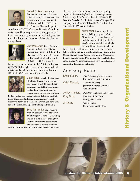

Robert E. Kauffman is the founder and President of Ambassador Advisors, LLC. Active in the investment business since 1976, Bob has earned the CFP™, Certified Financial Planner designation,

as well as the ChFC™, Chartered Financial Consultant designation. He is recognized as a leading professional in investment management and estate planning and has trained and supervised hundreds of financial planners during his career.



Mark Markiewicz is the Executive Director for Justice for Children International in the UK. Prior to this Mark was the Executive Director for the Business Professional Network (BPN) in the USA and was the

National Director for Youth With A Mission in England (YWAM). He has eighteen years of experience in global missions and development leadership and worked with JFCI in the USA prior to moving to the UK.



Glenn Miles is a children's nurse, who began his career with hands-on experience with children and their families in stressful life experiences. He has done significant work in refugee camps in Thailand and Cam-

bodia, but has also worked in India, Pakistan, the Philippines, Nepal and Sri Lanka. Glenn recently spent five years with Tearfund in Cambodia working on advocacy, research, facilitation, capacity building and training.



Bette Ann White is a seasoned financial consultant and the principal of Integrity Financial Consulting. She holds a BS in Accounting from Drexel University in Philadelphia and a Masters in Public Health in

Hospital Administration from Yale University. Bette Ann

directed her attention to health care finance, gaining experience in consulting/audit services and operations. Most recently, Bette Ann served as Chief Financial Officer of a Physician Practice Management/Managed Care company. In addition to a BS and MPH, she is a CPA and Accredited Valuation Analyst.



# Advisory Board

|                                                       | Kristin Wiebe currently directs<br>anti-trafficking programs in West<br>Africa for the Faith-based Agencies'<br>Initiative Against Trafficking In Per-<br>sons Consortium, and in Cambodia<br>for World Hope International. She<br>holds a law degree from the University of San Francisco<br>School of Law and has worked on trafficking issues in the<br>United States, Former Yugoslav Republic of Macedonia,<br>Liberia, Sierra Leone and Cambodia. She has also lobbied<br>at the United Nations Commission on Human Rights to | <b>Organizational Developme</b> |
|-------------------------------------------------------|-------------------------------------------------------------------------------------------------------------------------------------------------------------------------------------------------------------------------------------------------------------------------------------------------------------------------------------------------------------------------------------------------------------------------------------------------------------------------------------------------------------------------------------|---------------------------------|
| address the demand for trafficking.<br>Advisory Board |                                                                                                                                                                                                                                                                                                                                                                                                                                                                                                                                     |                                 |
| Sharon Cohn,                                          | Vice President of Interventions,                                                                                                                                                                                                                                                                                                                                                                                                                                                                                                    |                                 |
| Caleb Maskell,                                        | <b>International Justice Mission</b><br>Associate Director,<br>Jonathan Edwards Center at<br>Yale University                                                                                                                                                                                                                                                                                                                                                                                                                        |                                 |
| Jeffrey Cranford,<br>Greg Solis,                      | President, Highways and Hedges<br>President, Solis Wealth                                                                                                                                                                                                                                                                                                                                                                                                                                                                           |                                 |
| Jill Lacey,                                           | Management Group<br>Senior Editor,                                                                                                                                                                                                                                                                                                                                                                                                                                                                                                  |                                 |
|                                                       | Compassion and Culture                                                                                                                                                                                                                                                                                                                                                                                                                                                                                                              | <b>oğ</b>                       |
|                                                       |                                                                                                                                                                                                                                                                                                                                                                                                                                                                                                                                     | History                         |
|                                                       | Justice for Children International 2005                                                                                                                                                                                                                                                                                                                                                                                                                                                                                             |                                 |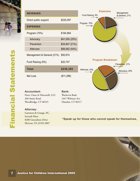

|            |                                                                                                |                                                                        | <b>Expenses</b>                                   | Management                    |
|------------|------------------------------------------------------------------------------------------------|------------------------------------------------------------------------|---------------------------------------------------|-------------------------------|
|            | <b>REVENUES</b>                                                                                |                                                                        | Fund Raising, 9%                                  | & General, 21%<br>⇐           |
|            | Direct public support                                                                          | \$225,097                                                              | Program, 70%                                      |                               |
|            | <b>EXPENSES</b>                                                                                |                                                                        |                                                   |                               |
|            | Program (70%)                                                                                  | \$164,964                                                              |                                                   |                               |
|            | Advocacy                                                                                       | \$41,055(25%)                                                          |                                                   |                               |
|            | Prevention                                                                                     | \$34,847 (21%)                                                         |                                                   |                               |
|            | Aftercare                                                                                      | \$89,062 (54%)                                                         |                                                   |                               |
|            | Management & General (21%)                                                                     | \$50,674                                                               |                                                   |                               |
|            | Fund Raising (9%)                                                                              | \$20,747                                                               | <b>Program Breakdown</b>                          | Prevention, 21%               |
|            | <b>Total</b>                                                                                   | \$236,385                                                              | Aftercare, 54%                                    | $\Leftarrow$<br>Advocacy, 25% |
| tatements  | Net Loss                                                                                       | (\$11,288)                                                             |                                                   |                               |
| <b>RIO</b> | <b>Accountant:</b><br>Finer, Chase & Marcarelli, LLC<br>260 Amity Road<br>Woodbridge, CT 06525 | <b>Bank:</b><br>Wachovia Bank<br>1647 Whitney Ave.<br>Hamden, CT 06517 |                                                   |                               |
|            | <b>Attorney:</b><br>Gammon & Grange, P.C.                                                      |                                                                        |                                                   |                               |
| Fina       | Seventh Floor<br>8280 Greensboro Drive<br>McLean, VA 22102-3807                                |                                                                        | "Speak up for those who cannot speak for themsely |                               |
|            |                                                                                                |                                                                        |                                                   |                               |
|            |                                                                                                |                                                                        |                                                   |                               |
|            | <b>Justice for Children International 2005</b>                                                 |                                                                        |                                                   |                               |

"Speak up for those who cannot speak for themselves,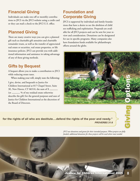# **Financial Giving**

Individuals can make one-off or monthly contributions to JFCI via the JFCI website using a credit card or they can mail a check to the JFCI U.S. office.

### **Planned Giving**

There are many creative ways you can give a planned gift such as charitable gift annuities and charitable remainder trusts, as well as the transfer of appreciated real estate or securities, real estate properties, or life insurance policies. JFCI can provide you with additional information and assistance in taking advantage of any of these giving methods.

### **Gifts by Bequest**

A bequest allows you to make a contribution to JFCI while reducing estate taxes.

When making your will, simply state the following:

I give, devise, and bequeath to Justice for Children International at 817 Chapel Street, Suite 3E, New Haven, CT 06510, the sum of \$ (or \_\_\_\_\_\_\_\_ % of my residual estate otherwise describe the gift) for the general purposes and uses of Justice for Children International at the discretion of the Board of Directors.

# **Foundation and Corporate Giving**

JFCI is supported by individual and family foundations that have a desire to see the abolition of child sex trafficking and exploitation. Proposals are available for all JFCI projects and can be sent for your review and consideration. Donations can be designated for use in specific programs. Many companies also have foundation funds available for philanthropic efforts around the globe.



for the rights of all who are destitute....defend the rights of the poor and needy." *PROVERBS 31:8*



*JFCI uses donations and grants for their intended purposes. When projects are fully funded, additional donations for those projects will be used where most needed.*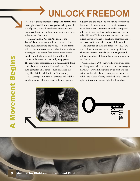**UNLOCK FREEDOM**

JFCI is a founding member of **Stop The Traffik**. This major global coalition works together to help stop the sale of people, to see the traffickers prosecuted and to protect the victims of human trafficking and those vulnerable to this crime.

On March 25, 2007 the Abolition of the Trans-Atlantic slave trade will be remembered in many countries around the world. Stop The Traffik will use this anniversary as a catalyst for an initiative whose goal is to cry for freedom for every human caught in trafficking around the world, with a particular focus on children and young people. The conviction that freedom is a human right drove both black and white abolitionists in the 18th and 19th centuries. That same conviction drives the Stop The Traffik coalition in the 21st century.

200 years ago, William Wilberforce realized the shocking news—Britain's slave trade was a growth

industry, and the backbone of Britain's economy at that time. He was a man whose convictions compelled him to act. That same spirit that whispered in his ear to end the slave trade whispers in our ears today. William Wilberforce was one man who mobilized a swell of voices to speak out against injustice and make a difference that impacted the world.

The abolition of the Slave Trade Act (1807) was achieved by a mass movement, made up of those who were enslaved, anti-slavery campaigners and ordinary members of the public, black, white, male and female.

On March 25, 2007 there will a worldwide shout for change—we will raise our voices so that everyone may hear—we will shout with joy to celebrate the traffic that has already been stopped, and shout the call for the release of every trafficked child. We will fight for those who cannot fight for themselves.

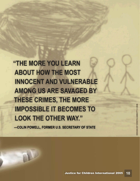**"THE MORE YOU LEARN ABOUT HOW THE MOST INNOCENT AND VULNERABLE AMONG US ARE SAVAGED BY THESE CRIMES, THE MORE IMPOSSIBLE IT BECOMES TO LOOK THE OTHER WAY."**

**—COLIN POWELL, FORMER U.S. SECRETARY OF STATE**